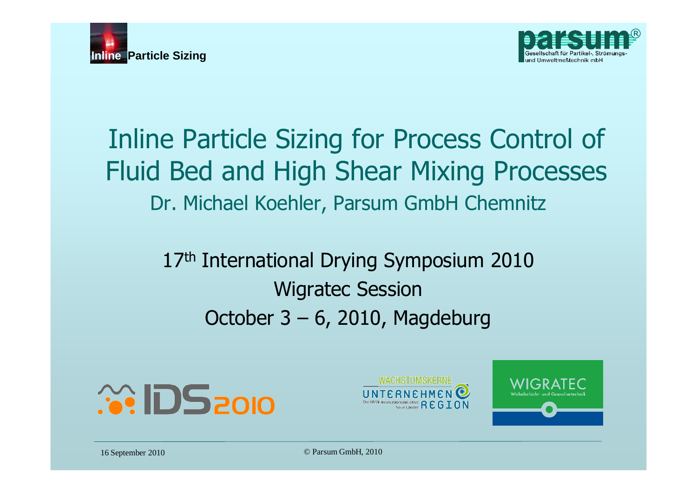



## Inline Particle Sizing for Process Control of Fluid Bed and High Shear Mixing Processes Dr. Michael Koehler, Parsum GmbH Chemnitz

17<sup>th</sup> International Drying Symposium 2010 Wigratec Session October 3 – 6, 2010, Magdeburg





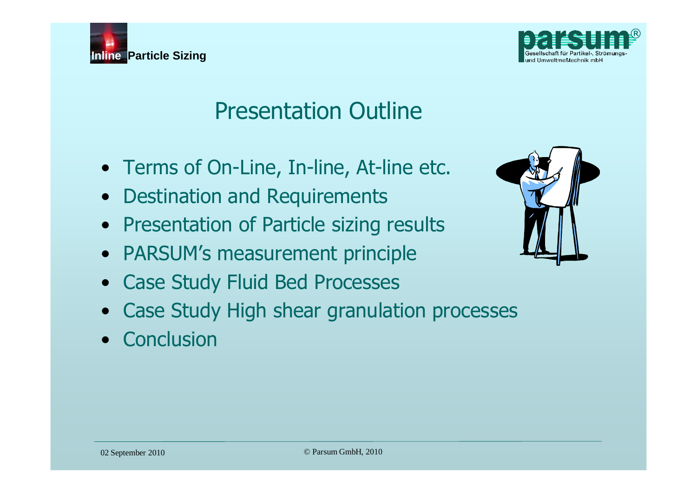



## Presentation Outline

- Terms of On-Line, In-line, At-line etc.
- Destination and Requirements
- Presentation of Particle sizing results
- PARSUM's measurement principle
- Case Study Fluid Bed Processes
- Case Study High shear granulation processes
- Conclusion

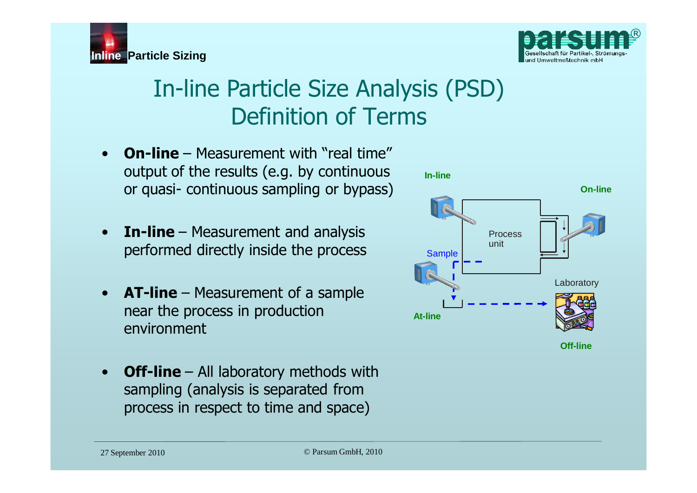

## In-line Particle Size Analysis (PSD) Definition of Terms

- **On-line** Measurement with "real time" output of the results (e.g. by continuous or quasi- continuous sampling or bypass)
- **In-line** Measurement and analysis performed directly inside the process
- **AT-line** Measurement of a sample near the process in production environment
- **Off-line** All laboratory methods with sampling (analysis is separated from process in respect to time and space)



**Inline Particle Sizing**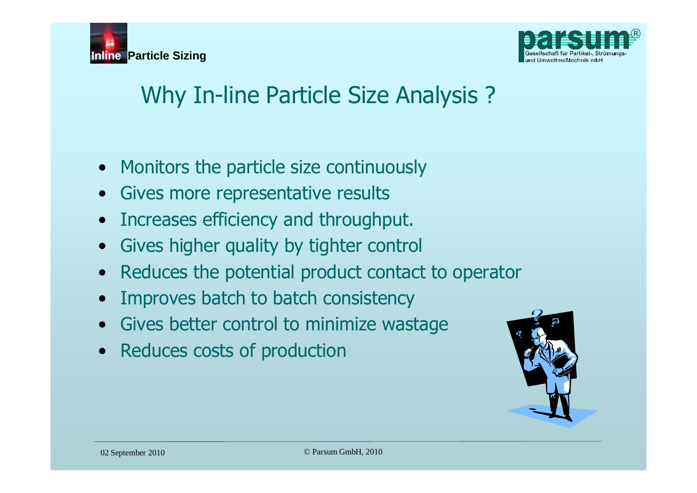



## Why In-line Particle Size Analysis ?

- Monitors the particle size continuously
- Gives more representative results
- Increases efficiency and throughput.
- Gives higher quality by tighter control
- Reduces the potential product contact to operator
- Improves batch to batch consistency
- Gives better control to minimize wastage
- Reduces costs of production

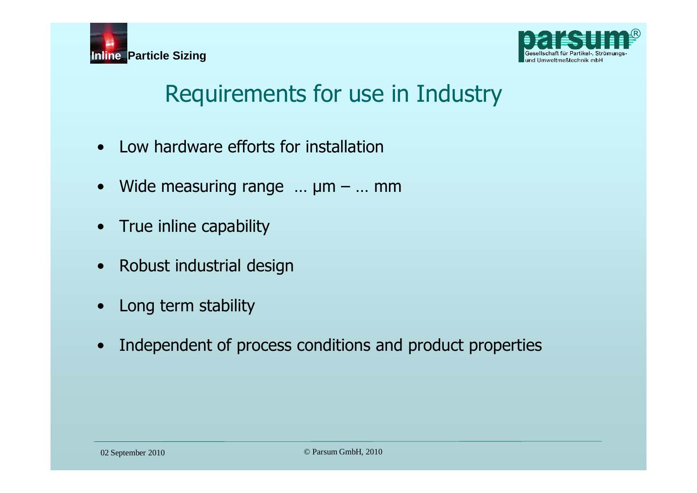



## Requirements for use in Industry

- Low hardware efforts for installation
- Wide measuring range  $\dots$   $\mu$ m  $\dots$  mm
- True inline capability
- Robust industrial design
- Long term stability
- Independent of process conditions and product properties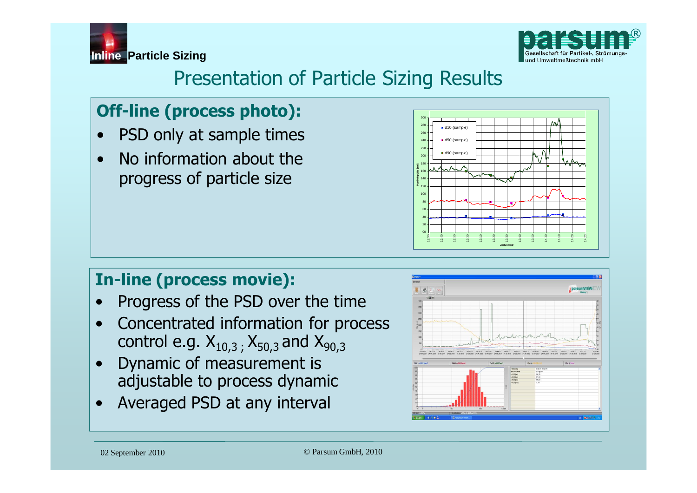



### Presentation of Particle Sizing Results

### **Off-line (process photo):**

- PSD only at sample times
- No information about the progress of particle size



### **In-line (process movie):**

- Progress of the PSD over the time
- Concentrated information for process control e.g.  $X_{10,3}$ ,  $X_{50,3}$  and  $X_{90,3}$
- Dynamic of measurement is adjustable to process dynamic
- Averaged PSD at any interval

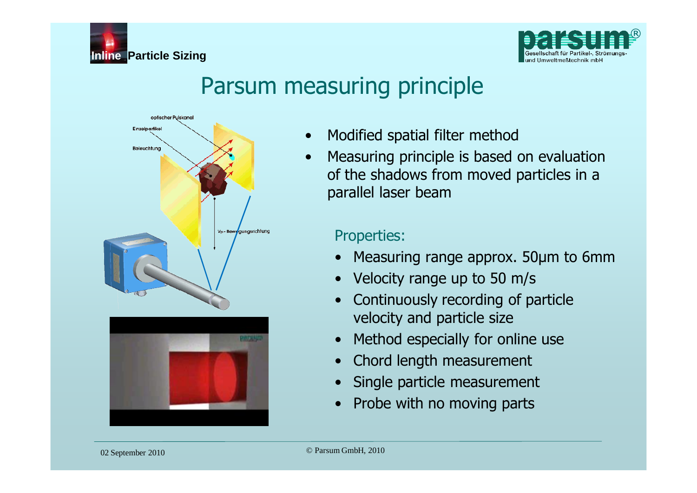



### Parsum measuring principle



- Modified spatial filter method
- Measuring principle is based on evaluation of the shadows from moved particles in a parallel laser beam

#### Properties:

- Measuring range approx. 50µm to 6mm
- Velocity range up to 50 m/s
- Continuously recording of particle velocity and particle size
- Method especially for online use
- Chord length measurement
- Single particle measurement
- Probe with no moving parts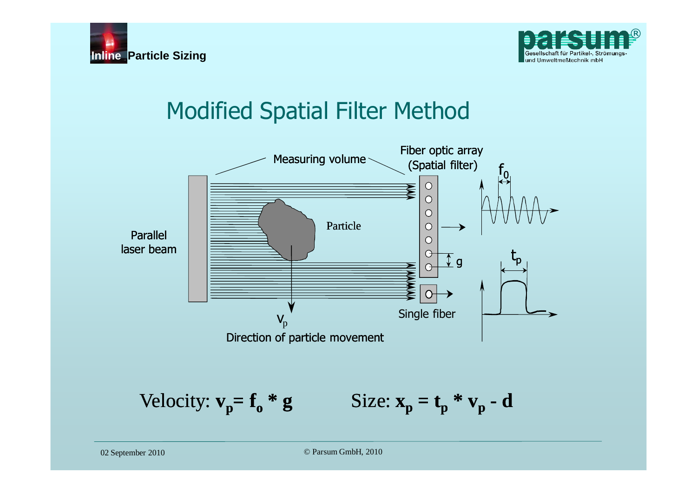



## Modified Spatial Filter Method

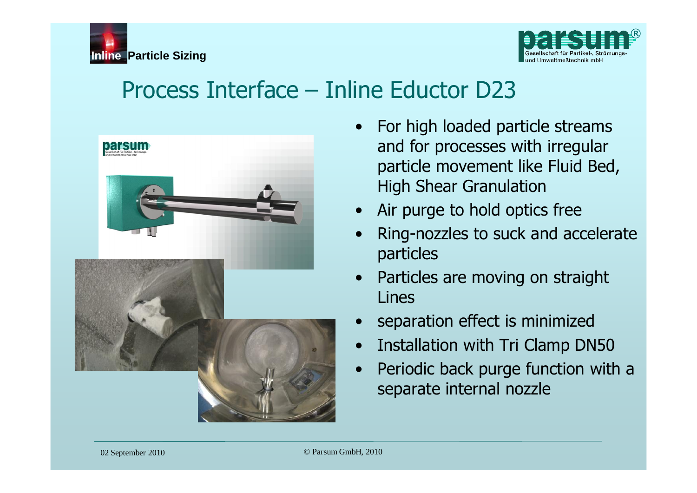



### Process Interface – Inline Eductor D23



- For high loaded particle streams and for processes with irregular particle movement like Fluid Bed, High Shear Granulation
- Air purge to hold optics free
- Ring-nozzles to suck and accelerate particles
- Particles are moving on straight Lines
- separation effect is minimized
- Installation with Tri Clamp DN50
- Periodic back purge function with a separate internal nozzle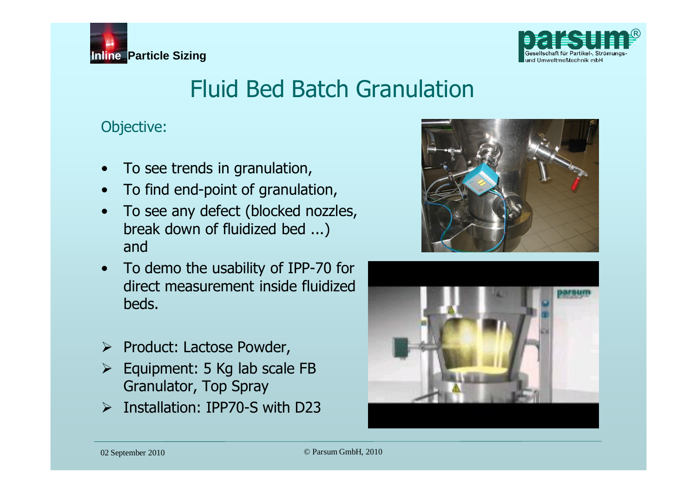

# **Inline Particle Sizing**

## Fluid Bed Batch Granulation

Objective:

- To see trends in granulation,
- To find end-point of granulation,
- To see any defect (blocked nozzles, break down of fluidized bed ...) and
- To demo the usability of IPP-70 for direct measurement inside fluidized beds.
- $\triangleright$  Product: Lactose Powder,
- $\triangleright$  Equipment: 5 Kg lab scale FB Granulator, Top Spray
- ¾ Installation: IPP70-S with D23



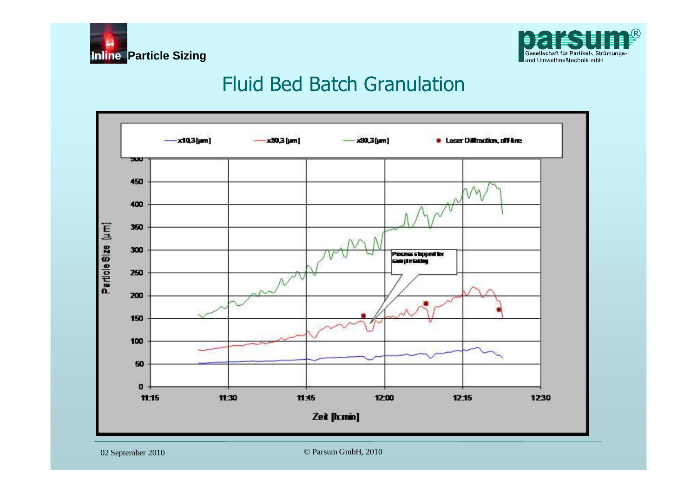



### Fluid Bed Batch Granulation

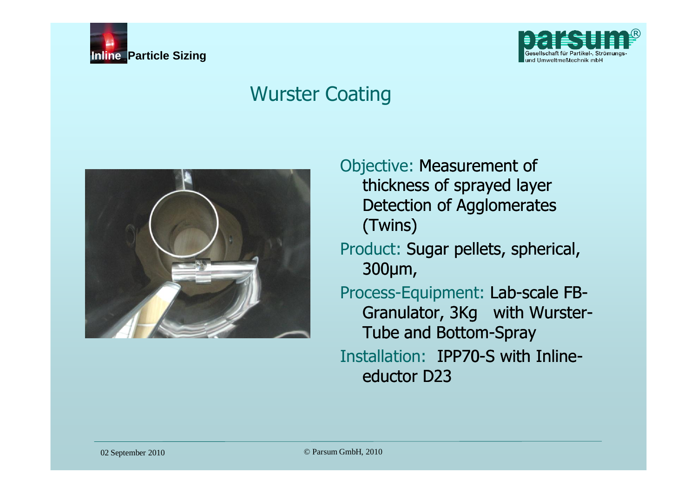



### Wurster Coating



Objective: Measurement of thickness of sprayed layer Detection of Agglomerates (Twins)

Product: Sugar pellets, spherical, 300µm,

Process-Equipment: Lab-scale FB-Granulator, 3Kg with Wurster-Tube and Bottom-Spray Installation: IPP70-S with Inlineeductor D23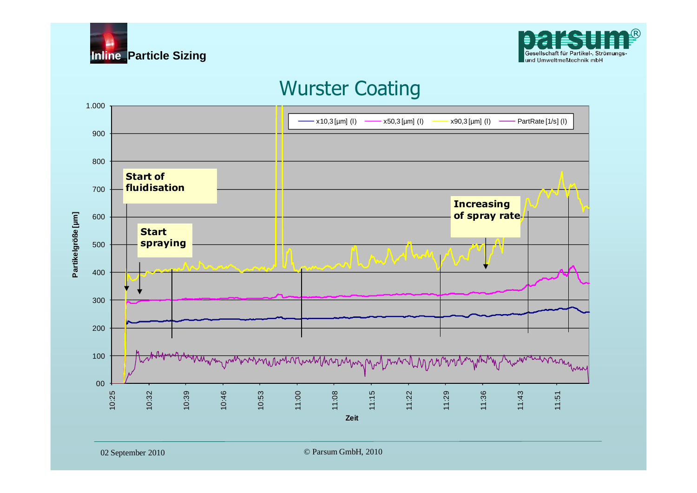



### Wurster Coating

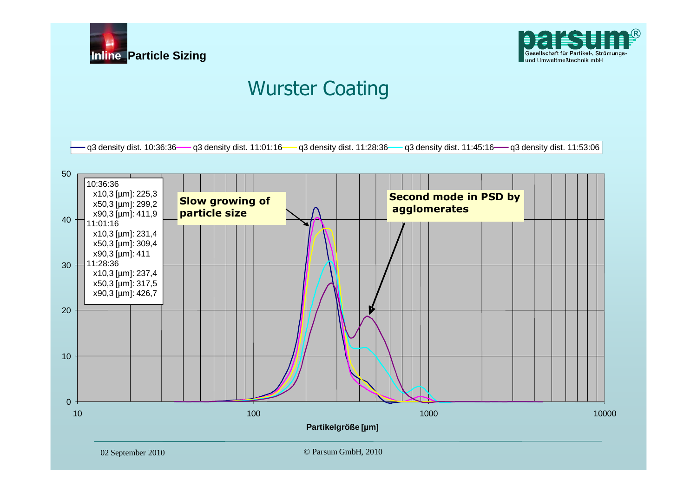



### Wurster Coating

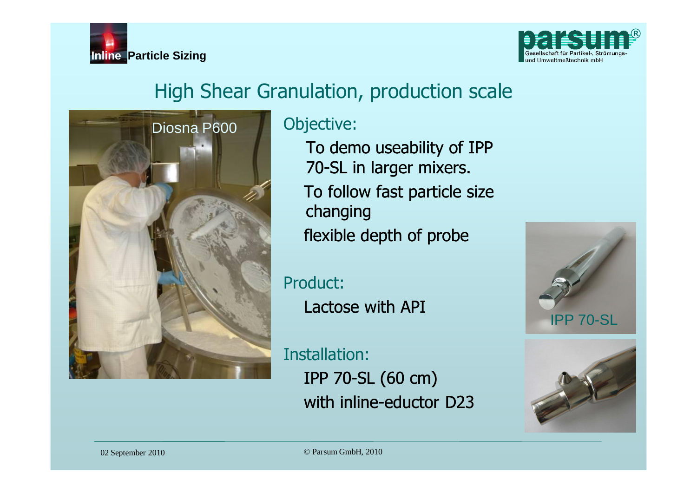



### High Shear Granulation, production scale



To demo useability of IPP 70-SL in larger mixers. To follow fast particle size changing flexible depth of probe

Product: Lactose with API

Installation: IPP 70-SL (60 cm) with inline-eductor D23



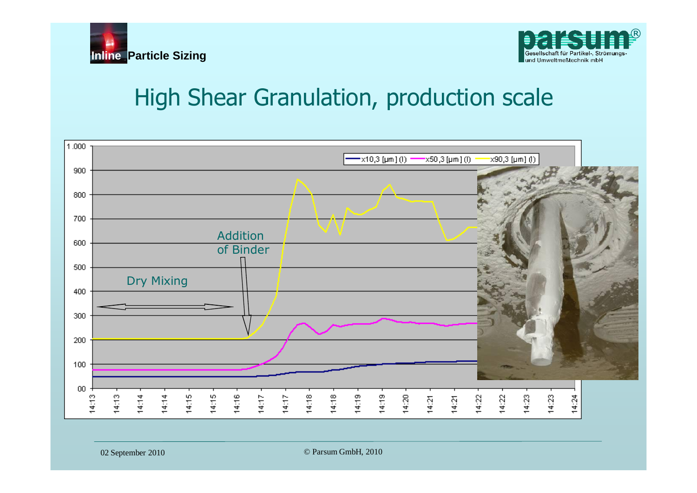



### High Shear Granulation, production scale

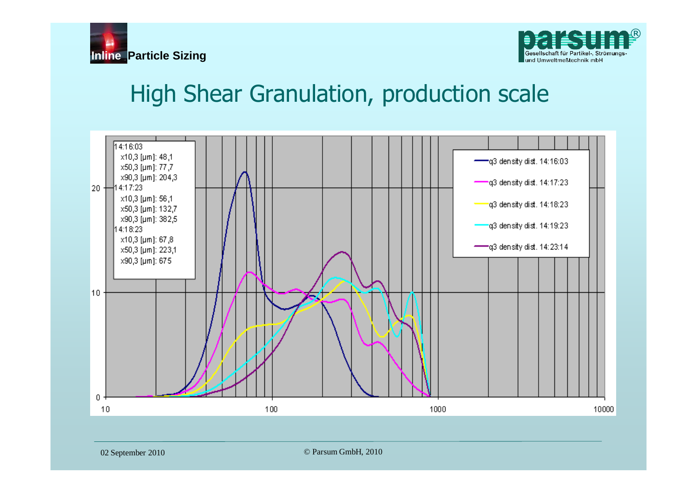



### High Shear Granulation, production scale